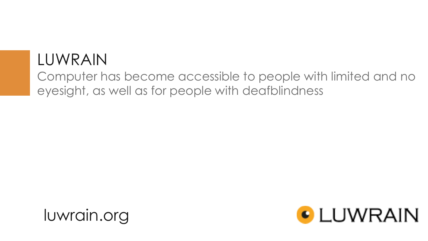## LUWRAIN

Computer has become accessible to people with limited and no eyesight, as well as for people with deafblindness



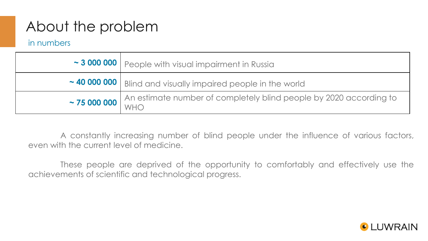## About the problem

in numbers

| ~ 3 000 000   People with visual impairment in Russia                          |  |  |
|--------------------------------------------------------------------------------|--|--|
| ~40 000 000   Blind and visually impaired people in the world                  |  |  |
| ~75 000 000 An estimate number of completely blind people by 2020 according to |  |  |

A constantly increasing number of blind people under the influence of various factors, even with the current level of medicine.

These people are deprived of the opportunity to comfortably and effectively use the achievements of scientific and technological progress.

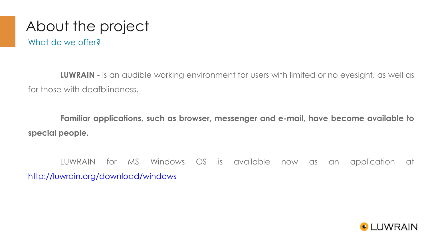# About the project

What do we offer?

**LUWRAIN** - is an audible working environment for users with limited or no eyesight, as well as for those with deafblindness.

**Familiar applications, such as browser, messenger and e-mail, have become available to special people.**

LUWRAIN for MS Windows OS is available now as an application at <http://luwrain.org/download/windows>

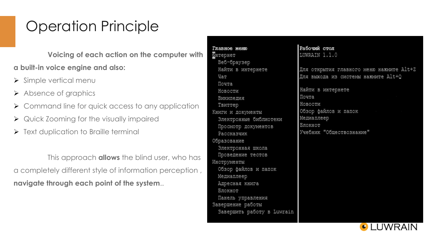## Operation Principle

**Voicing of each action on the computer with a built-in voice engine and also:**

- $\triangleright$  Simple vertical menu
- Absence of graphics
- $\triangleright$  Command line for quick access to any application
- **▶ Quick Zooming for the visually impaired**
- $\triangleright$  Text duplication to Braille terminal

This approach **allows** the blind user, who has a completely different style of information perception , **navigate through each point of the system**..

Главное меню Интернет Beб-браузер Найти в интернете Ųат Почта Новости Википелия Твиттер Книги и документы Электронные библиотеки Просмотр документов Рассказчик Образование Электронная школа Проведение тестов Инструменты Обзор файлов и папок Медиаплеер Адресная книга Блокнот Панель управления Завершение работы Завершить работу в Luwrain Рабочий стол LUWRAIN 1.1.0

Для открытия главного меню нажмите Alt+Z Для выхода из системы нажмите Alt+Q

Найти в интернете Почта Новости Обзор файлов и папок Медиаплеер Блокнот Учебник "Обществознание"

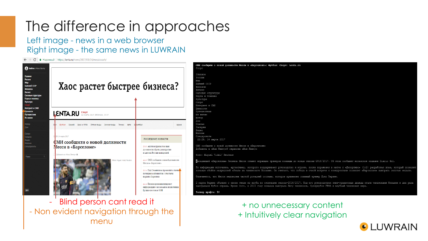# The difference in approaches

Left image - news in a web browser Right image - the same news in LUWRAIN

C | А Надежный | https://lenta.ru/news/2017/03/14/messicoach

| Войти в Мою Ленту<br>Главное<br>Россия<br>Мир<br>Бывший СССР<br>Финансы<br>Бизнес<br>Силовые структуры<br>Наука и техника<br>Культура | Хаос растет быстрее бизнеса?                                                                 |                                                                                                                                                                                                                                                                                                                                                                                                                                         | СМИ сообщили о новой должности Месси в «Барселоне»: Футбол: Спорт: Lenta.ru<br>Спорт<br>Главное<br>Россия<br>Мир<br>Бывший СССР<br>Финансы<br>Бизнес<br>Силовые структуры<br>Наука и техника<br>Культура<br>Спорт                                                                                                |  |
|---------------------------------------------------------------------------------------------------------------------------------------|----------------------------------------------------------------------------------------------|-----------------------------------------------------------------------------------------------------------------------------------------------------------------------------------------------------------------------------------------------------------------------------------------------------------------------------------------------------------------------------------------------------------------------------------------|------------------------------------------------------------------------------------------------------------------------------------------------------------------------------------------------------------------------------------------------------------------------------------------------------------------|--|
| Интернет и СМИ<br>Ценности<br>Путешествия<br>Из жизни                                                                                 | <b>LENTA.RU</b> SHAPTA 2017, BTOPHMK, 23:37                                                  |                                                                                                                                                                                                                                                                                                                                                                                                                                         | Интернет и СМИ<br>Ценности<br>Путешествия<br>Из жизни<br>Мотор                                                                                                                                                                                                                                                   |  |
| Motop<br>Дом                                                                                                                          | Футбол Хоккей Бокси ММА Летние виды Зимние виды Теннис Авто Баскетбол                        | Архив                                                                                                                                                                                                                                                                                                                                                                                                                                   | Дом<br>Статьи<br>Галереи                                                                                                                                                                                                                                                                                         |  |
| Статьи<br>Галереи<br>Видео<br>Мнения<br>Спецпроекты                                                                                   | 21 29. 14 марта 2017<br>¢MИ сообщили о новой должности<br>Месси в «Барселоне»                | ПОСЛЕДНИЕ НОВОСТИ<br>23:03 Аксенов призвал во имя                                                                                                                                                                                                                                                                                                                                                                                       | Видео<br>Мнения<br>Спецпроекты<br>22:29, 14 марта 2017<br>СМИ сообщили о новой должности Месси в «Барселоне»                                                                                                                                                                                                     |  |
| <b>NOWER</b>                                                                                                                          | Добавить в «Мою Ленту» ©                                                                     | духовности убрать демократию<br>и сделать Россию монархией                                                                                                                                                                                                                                                                                                                                                                              | Добавить в «Мою Ленту»О сервисев «Мою Ленту»<br>Фото: Miquel Vidal/ Reuters                                                                                                                                                                                                                                      |  |
|                                                                                                                                       | oro: Miquel Vidal/ Reuters                                                                   | 22:29 СМИ сообщили о новой должности<br>Месси в «Барселоне»                                                                                                                                                                                                                                                                                                                                                                             | Пападающий «Барселоны» Лионель Месси станет играющим тренером команды до конца сезона-2016/2017. Об этом сообщает испанское издание Diario Gol.                                                                                                                                                                  |  |
|                                                                                                                                       | 22:26 Под Славянском произошла стычка<br>полиции и активистов с участием<br>нардепа Парасюка | По информации источника, аргентинец, которого поддерживает руководство и игроки, после поражения в матче с «Депортиво» (1:2) разработал план, который позволит<br>команде обойти мадридский «Реал» на чемпионате Испании. Он считает, что победа в очной встрече с конкурентами позволит «Барселоне» выиграть золотые медали.<br>Отмечается, что Месси недоволен частой ротацией состава, которую применяет главный тренер Луис Энрике. |                                                                                                                                                                                                                                                                                                                  |  |
| $18+$                                                                                                                                 |                                                                                              | 21:24 Песков прокомментировал<br>информацию о возможном назначении<br>Гоушко послом в ООН                                                                                                                                                                                                                                                                                                                                               | 2 марта Энрике объявил о своем уходе из клуба по окончании сезона-2016/2017. Под его руководством сине-гранатовые дважды стали чемпионами Испании и два раза<br>выигрывали Кубок страны. Кроме того, в 2015 году команда выиграла Лигу чемпионов, Суперкубок УЕФА и клубный чемпионат мира.<br>Размер шрифта: 14 |  |
|                                                                                                                                       | Blind person cant read it                                                                    |                                                                                                                                                                                                                                                                                                                                                                                                                                         | + no unnecessary content                                                                                                                                                                                                                                                                                         |  |

- Non evident navigation through the menu

#### + no unnecessary content + Intuitively clear navigation

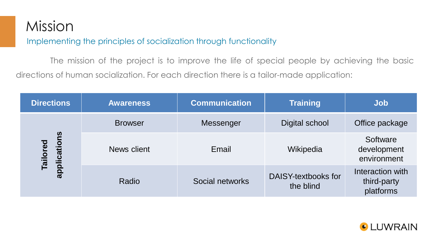## Mission

Implementing the principles of socialization through functionality

The mission of the project is to improve the life of special people by achieving the basic directions of human socialization. For each direction there is a tailor-made application:

| <b>Directions</b>        | <b>Awareness</b> | <b>Communication</b> | <b>Training</b>                  | Job                                          |
|--------------------------|------------------|----------------------|----------------------------------|----------------------------------------------|
|                          | <b>Browser</b>   | Messenger            | Digital school                   | Office package                               |
| applications<br>Tailored | News client      | Email                | Wikipedia                        | Software<br>development<br>environment       |
|                          | Radio            | Social networks      | DAISY-textbooks for<br>the blind | Interaction with<br>third-party<br>platforms |

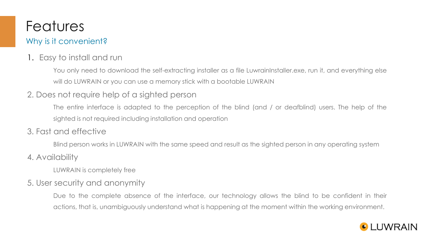## Features

### Why is it convenient?

### 1. Easy to install and run

You only need to download the self-extracting installer as a file LuwrainInstaller.exe, run it, and everything else will do LUWRAIN or you can use a memory stick with a bootable LUWRAIN

### 2. Does not require help of a sighted person

The entire interface is adapted to the perception of the blind (and / or deafblind) users. The help of the sighted is not required including installation and operation

### 3. Fast and effective

Blind person works in LUWRAIN with the same speed and result as the sighted person in any operating system

### 4. Availability

LUWRAIN is completely free

### 5. User security and anonymity

Due to the complete absence of the interface, our technology allows the blind to be confident in their actions, that is, unambiguously understand what is happening at the moment within the working environment.

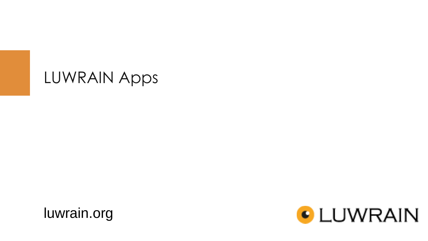## LUWRAIN Apps



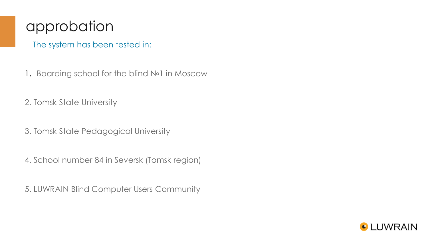### approbation

The system has been tested in:

1. Boarding school for the blind №1 in Moscow

2. Tomsk State University

3. Tomsk State Pedagogical University

4. School number 84 in Seversk (Tomsk region)

5. LUWRAIN Blind Computer Users Community

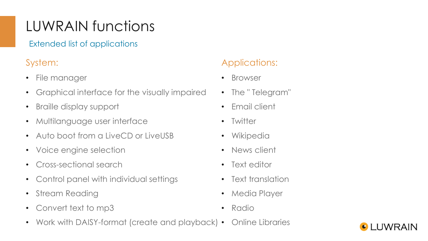# LUWRAIN functions

Extended list of applications

### System:

- File manager
- Graphical interface for the visually impaired
- Braille display support
- Multilanguage user interface
- Auto boot from a LiveCD or LiveUSB
- Voice engine selection
- Cross-sectional search
- Control panel with individual settings
- Stream Reading
- Convert text to mp3
- Work with DAISY-format (create and playback) Online Libraries

### Applications:

- Browser
- The " Telegram"
- Email client
- Twitter
- Wikipedia
- News client
- Text editor
- Text translation
- Media Player
- Radio

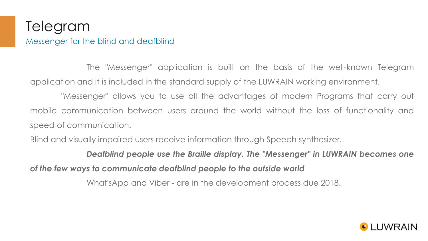### Telegram Messenger for the blind and deafblind

The "Messenger" application is built on the basis of the well-known Telegram application and it is included in the standard supply of the LUWRAIN working environment.

"Messenger" allows you to use all the advantages of modern Programs that carry out mobile communication between users around the world without the loss of functionality and speed of communication.

Blind and visually impaired users receive information through Speech synthesizer.

*Deafblind people use the Braille display. The "Messenger" in LUWRAIN becomes one of the few ways to communicate deafblind people to the outside world*

What'sApp and Viber - are in the development process due 2018.

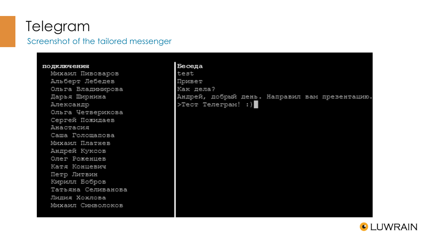### Telegram Screenshot of the tailored messenger

#### подключения

Михаил Пивоваров Альберт Лебедев Ольга Владимирова Дарья Ширнина Александр Ольга Четверикова Сергей Пожидаев Анастасия Саша Голошалова Михаил Платнев Андрей Куксов Олег Роженцев Катя Концевич Петр Литвин Кирилл Бобров Татьяна Селиванова Лидия Хохлова Михаил Символоков

#### Беседа test Привет Как дела? Андрей, добрый день. Направил вам презентацию. >Тест Телеграм! :)

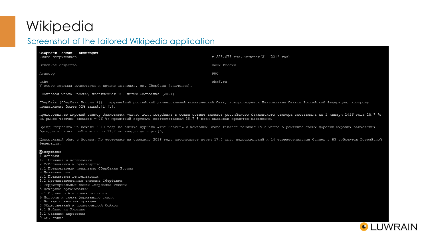## Wikipedia

### Screenshot of the tailored Wikipedia application

| Сбербанк России - Википедия                                                                                                                                                                                                                                                  |                                                                                                                                                               |  |  |  |
|------------------------------------------------------------------------------------------------------------------------------------------------------------------------------------------------------------------------------------------------------------------------------|---------------------------------------------------------------------------------------------------------------------------------------------------------------|--|--|--|
| Число сотрудников                                                                                                                                                                                                                                                            | ▼ 325,075 тыс. человек[3] (2016 год)                                                                                                                          |  |  |  |
| Основное общество                                                                                                                                                                                                                                                            | Банк России                                                                                                                                                   |  |  |  |
| Аудитор                                                                                                                                                                                                                                                                      | PWC                                                                                                                                                           |  |  |  |
| Сайт<br>У этого термина существуют и другие значения, см. Сбербанк (значения).                                                                                                                                                                                               | sbrf.ru                                                                                                                                                       |  |  |  |
| Почтовая марка России, посвящённая 160-летию Сбербанка (2001)                                                                                                                                                                                                                |                                                                                                                                                               |  |  |  |
| Сбербанк (Сбербанк России[4]) - крупнейший российский универсальный коммерческий банк, контролируется Центральным банком Российской Федерации, которому<br>принадлежит более 52% акций. [1] [5].                                                                             |                                                                                                                                                               |  |  |  |
| Предоставляет широкий спектр банковских услуг. Доля Сбербанка в общем объёме активов российского банковского сектора составляла на 1 января 2016 года 28,7 %;<br>на рынке частных вкладов - 46 %; кредитный портфель соответствовал 38,7 % всех выданных кредитов населению. |                                                                                                                                                               |  |  |  |
| Бренд Сбербанка на начало 2010 года по оценке журнала «The Banker» и компании Brand Finance занимал 15-е место в рейтинге самых дорогих мировых банковских<br>брендов и стоил приблизительно 11,7 миллиарда долларов[6].                                                     |                                                                                                                                                               |  |  |  |
| Федерации.                                                                                                                                                                                                                                                                   | Центральный офис в Москве. По состоянию на середину 2016 года насчитывает почти 17,5 тыс. подразделений и 14 территориальных банков в 83 субъектах Российской |  |  |  |
| Содержание                                                                                                                                                                                                                                                                   |                                                                                                                                                               |  |  |  |
| 1 История                                                                                                                                                                                                                                                                    |                                                                                                                                                               |  |  |  |
| 1.1 Слияния и поглощения                                                                                                                                                                                                                                                     |                                                                                                                                                               |  |  |  |
| 2 Собственники и руководство<br>2.1 Председатели правления Сбербанка России                                                                                                                                                                                                  |                                                                                                                                                               |  |  |  |
| 3 Деятельность                                                                                                                                                                                                                                                               |                                                                                                                                                               |  |  |  |
| 3.1 Показатели деятельности                                                                                                                                                                                                                                                  |                                                                                                                                                               |  |  |  |
| 3.2 Производственная система Сбербанка                                                                                                                                                                                                                                       |                                                                                                                                                               |  |  |  |
| 4 Территориальные банки Сбербанка России                                                                                                                                                                                                                                     |                                                                                                                                                               |  |  |  |
| 5 Дочерние организации                                                                                                                                                                                                                                                       |                                                                                                                                                               |  |  |  |
| 5.1 Оценки рейтинговых агентств                                                                                                                                                                                                                                              |                                                                                                                                                               |  |  |  |
| 6 Логотип и смена фирменного стиля<br>7 Вклады советских граждан                                                                                                                                                                                                             |                                                                                                                                                               |  |  |  |
| 8 Общественный и политический бойкот                                                                                                                                                                                                                                         |                                                                                                                                                               |  |  |  |
| 8.1 Бойкот на Украине                                                                                                                                                                                                                                                        |                                                                                                                                                               |  |  |  |
| 8.2 Санкции Евросоюза                                                                                                                                                                                                                                                        |                                                                                                                                                               |  |  |  |
| 9 См. также                                                                                                                                                                                                                                                                  |                                                                                                                                                               |  |  |  |
|                                                                                                                                                                                                                                                                              |                                                                                                                                                               |  |  |  |

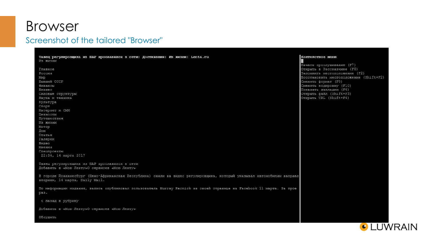### Browser

#### Screenshot of the tailored "Browser"

Танец регулировщика из ЮАР прославился в сети: Достижения: Из жизни: Lenta.ru Из жизни Главное Россия Мир Бывший СССР Финансы Бизнес Силовые структуры Наука и техника Культура Спорт Интернет и СМИ Ценности Путешествия Из жизни Мотор Дом Статьи Галереи Видео Мнения Спецпроекты 22:34, 14 марта 2017 Танец регулировщика из ЮАР прославился в сети Добавить в «Мою Ленту»О сервисев «Мою Ленту» В городе Йоханнесбург (Южно-Африканская Республика) сняли на видео регулировщика, который указывал автомобилям направл вторник, 14 марта, Daily Mail. По информации издания, запись опубликовал пользователь Murray Kernick на своей странице на Facebook 11 марта. За трое раз. < Назад в рубрику Добавить в «Мою Ленту»О сервисев «Мою Ленту»

Обсудить

#### Контекстное меню

Начать прослушивание (F7) Открыть в Рассказчике (F8) Запомнить местоположение (F2) Восстановить местоположение (Shift+F2) Сменить формат (F9) Сменить кодировку (F10) Показать закладки (F6) Открыть файл (Shift+F3) Открыть URL (Shift+F4)

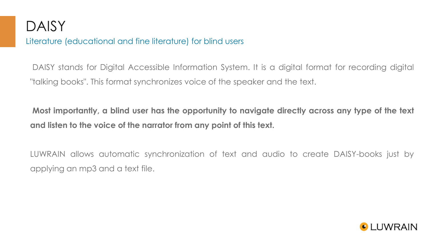

Literature (educational and fine literature) for blind users

DAISY stands for Digital Accessible Information System. It is a digital format for recording digital "talking books". This format synchronizes voice of the speaker and the text.

**Most importantly, a blind user has the opportunity to navigate directly across any type of the text and listen to the voice of the narrator from any point of this text.**

LUWRAIN allows automatic synchronization of text and audio to create DAISY-books just by applying an mp3 and a text file.

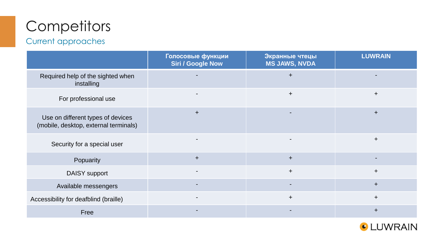# **Competitors**

### Current approaches

|                                                                            | Голосовые функции<br><b>Siri / Google Now</b> | Экранные чтецы<br><b>MS JAWS, NVDA</b> | <b>LUWRAIN</b> |
|----------------------------------------------------------------------------|-----------------------------------------------|----------------------------------------|----------------|
| Required help of the sighted when<br>installing                            |                                               | $\ddot{}$                              |                |
| For professional use                                                       |                                               | $\pm$                                  | $+$            |
| Use on different types of devices<br>(mobile, desktop, external terminals) | $+$                                           |                                        | $\pm$          |
| Security for a special user                                                |                                               |                                        | $+$            |
| Popuarity                                                                  | $+$                                           | $+$                                    |                |
| <b>DAISY</b> support                                                       |                                               | $+$                                    | $+$            |
| Available messengers                                                       |                                               |                                        | $+$            |
| Accessibility for deafblind (braille)                                      |                                               | $+$                                    | $+$            |
| Free                                                                       |                                               |                                        | $\ddot{}$      |